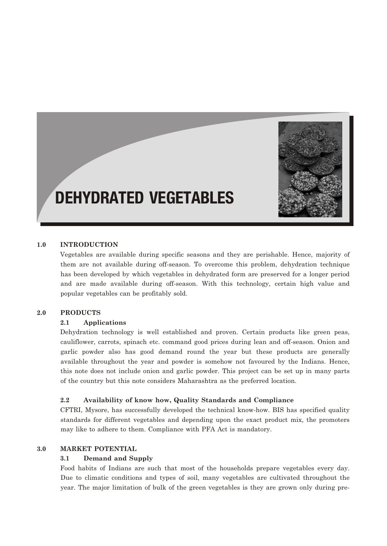

# DEHYDRATED VEGETABLES

## **1.0 INTRODUCTION**

Vegetables are available during specific seasons and they are perishable. Hence, majority of them are not available during off-season. To overcome this problem, dehydration technique has been developed by which vegetables in dehydrated form are preserved for a longer period and are made available during off-season. With this technology, certain high value and popular vegetables can be profitably sold.

#### **2.0 PRODUCTS**

#### **2.1 Applications**

Dehydration technology is well established and proven. Certain products like green peas, cauliflower, carrots, spinach etc. command good prices during lean and off-season. Onion and garlic powder also has good demand round the year but these products are generally available throughout the year and powder is somehow not favoured by the Indians. Hence, this note does not include onion and garlic powder. This project can be set up in many parts of the country but this note considers Maharashtra as the preferred location.

#### **2.2 Availability of know how, Quality Standards and Compliance**

CFTRI, Mysore, has successfully developed the technical know-how. BIS has specified quality standards for different vegetables and depending upon the exact product mix, the promoters may like to adhere to them. Compliance with PFA Act is mandatory.

## **3.0 MARKET POTENTIAL**

#### **3.1 Demand and Supply**

Food habits of Indians are such that most of the households prepare vegetables every day. Due to climatic conditions and types of soil, many vegetables are cultivated throughout the year. The major limitation of bulk of the green vegetables is they are grown only during pre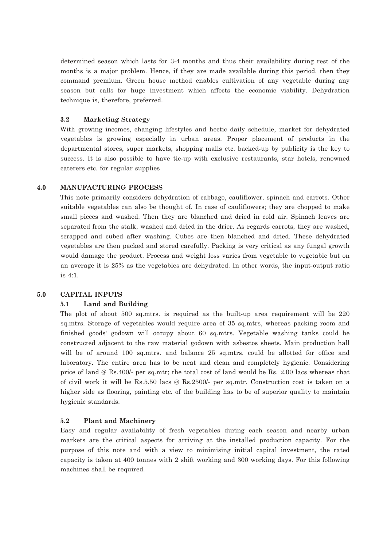determined season which lasts for 3-4 months and thus their availability during rest of the months is a major problem. Hence, if they are made available during this period, then they command premium. Green house method enables cultivation of any vegetable during any season but calls for huge investment which affects the economic viability. Dehydration technique is, therefore, preferred.

#### **3.2 Marketing Strategy**

With growing incomes, changing lifestyles and hectic daily schedule, market for dehydrated vegetables is growing especially in urban areas. Proper placement of products in the departmental stores, super markets, shopping malls etc. backed-up by publicity is the key to success. It is also possible to have tie-up with exclusive restaurants, star hotels, renowned caterers etc. for regular supplies

#### **4.0 MANUFACTURING PROCESS**

This note primarily considers dehydration of cabbage, cauliflower, spinach and carrots. Other suitable vegetables can also be thought of. In case of cauliflowers; they are chopped to make small pieces and washed. Then they are blanched and dried in cold air. Spinach leaves are separated from the stalk, washed and dried in the drier. As regards carrots, they are washed, scrapped and cubed after washing. Cubes are then blanched and dried. These dehydrated vegetables are then packed and stored carefully. Packing is very critical as any fungal growth would damage the product. Process and weight loss varies from vegetable to vegetable but on an average it is 25% as the vegetables are dehydrated. In other words, the input-output ratio is 4:1.

#### **5.0 CAPITAL INPUTS**

#### **5.1 Land and Building**

The plot of about 500 sq.mtrs. is required as the built-up area requirement will be 220 sq.mtrs. Storage of vegetables would require area of 35 sq.mtrs, whereas packing room and finished goods' godown will occupy about 60 sq.mtrs. Vegetable washing tanks could be constructed adjacent to the raw material godown with asbestos sheets. Main production hall will be of around 100 sq.mtrs, and balance 25 sq.mtrs, could be allotted for office and laboratory. The entire area has to be neat and clean and completely hygienic. Considering price of land @ Rs.400/- per sq.mtr; the total cost of land would be Rs. 2.00 lacs whereas that of civil work it will be Rs.5.50 lacs @ Rs.2500/- per sq.mtr. Construction cost is taken on a higher side as flooring, painting etc. of the building has to be of superior quality to maintain hygienic standards.

#### **5.2 Plant and Machinery**

Easy and regular availability of fresh vegetables during each season and nearby urban markets are the critical aspects for arriving at the installed production capacity. For the purpose of this note and with a view to minimising initial capital investment, the rated capacity is taken at 400 tonnes with 2 shift working and 300 working days. For this following machines shall be required.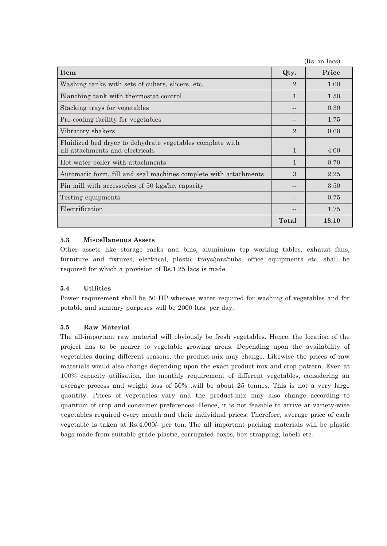|                                                                                              |                | (Rs. in lacs) |
|----------------------------------------------------------------------------------------------|----------------|---------------|
| Item                                                                                         | Qty.           | Price         |
| Washing tanks with sets of cubers, slicers, etc.                                             | 2              | 1.00          |
| Blanching tank with thermostat control                                                       | $\mathbf{1}$   | 1.50          |
| Stacking trays for vegetables                                                                |                | 0.30          |
| Pre-cooling facility for vegetables                                                          |                | 1.75          |
| Vibratory shakers                                                                            | $\overline{2}$ | 0.60          |
| Fluidized bed dryer to dehydrate vegetables complete with<br>all attachments and electricals | $\mathbf{1}$   | 4.00          |
| Hot-water boiler with attachments                                                            | $\mathbf{1}$   | 0.70          |
| Automatic form, fill and seal machines complete with attachments                             | 3              | 2.25          |
| Pin mill with accessories of 50 kgs/hr. capacity                                             |                | 3.50          |
| Testing equipments                                                                           |                | 0.75          |
| Electrification                                                                              |                | 1.75          |
|                                                                                              | <b>Total</b>   | 18.10         |

# **5.3 Miscellaneous Assets**

Other assets like storage racks and bins, aluminium top working tables, exhaust fans, furniture and fixtures, electrical, plastic trays/jars/tubs, office equipments etc. shall be required for which a provision of Rs.1.25 lacs is made.

# **5.4 Utilities**

Power requirement shall be 50 HP whereas water required for washing of vegetables and for potable and sanitary purposes will be 2000 ltrs. per day.

# **5.5 Raw Material**

The all-important raw material will obviously be fresh vegetables. Hence, the location of the project has to be nearer to vegetable growing areas. Depending upon the availability of vegetables during different seasons, the product-mix may change. Likewise the prices of raw materials would also change depending upon the exact product mix and crop pattern. Even at 100% capacity utilisation, the monthly requirement of different vegetables, considering an average process and weight loss of 50% ,will be about 25 tonnes. This is not a very large quantity. Prices of vegetables vary and the product-mix may also change according to quantum of crop and consumer preferences. Hence, it is not feasible to arrive at variety-wise vegetables required every month and their individual prices. Therefore, average price of each vegetable is taken at Rs.4,000/- per ton. The all important packing materials will be plastic bags made from suitable grade plastic, corrugated boxes, box strapping, labels etc.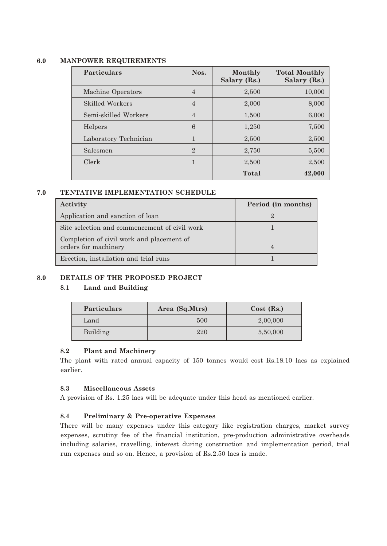# **6.0 MANPOWER REQUIREMENTS**

| <b>Particulars</b>     | Nos.           | Monthly<br>Salary (Rs.) | <b>Total Monthly</b><br>Salary (Rs.) |
|------------------------|----------------|-------------------------|--------------------------------------|
| Machine Operators      | 4              | 2,500                   | 10,000                               |
| <b>Skilled Workers</b> | $\overline{4}$ | 2,000                   | 8,000                                |
| Semi-skilled Workers   | $\overline{4}$ | 1,500                   | 6,000                                |
| Helpers                | 6              | 1,250                   | 7,500                                |
| Laboratory Technician  | 1              | 2,500                   | 2,500                                |
| Salesmen               | $\mathbf{2}$   | 2,750                   | 5,500                                |
| Clerk                  | $\mathbf{1}$   | 2,500                   | 2,500                                |
|                        |                | Total                   | 42,000                               |

#### **7.0 TENTATIVE IMPLEMENTATION SCHEDULE**

| Activity                                                          | Period (in months) |
|-------------------------------------------------------------------|--------------------|
| Application and sanction of loan                                  |                    |
| Site selection and commencement of civil work                     |                    |
| Completion of civil work and placement of<br>orders for machinery |                    |
| Erection, installation and trial runs                             |                    |

# **8.0 DETAILS OF THE PROPOSED PROJECT**

## **8.1 Land and Building**

| <b>Particulars</b> | Area (Sq.Mtrs) | $Cost$ (Rs.) |
|--------------------|----------------|--------------|
| Land               | 500            | 2,00,000     |
| Building           | 220            | 5,50,000     |

## **8.2 Plant and Machinery**

The plant with rated annual capacity of 150 tonnes would cost Rs.18.10 lacs as explained earlier.

## **8.3 Miscellaneous Assets**

A provision of Rs. 1.25 lacs will be adequate under this head as mentioned earlier.

# **8.4 Preliminary & Pre-operative Expenses**

There will be many expenses under this category like registration charges, market survey expenses, scrutiny fee of the financial institution, pre-production administrative overheads including salaries, travelling, interest during construction and implementation period, trial run expenses and so on. Hence, a provision of Rs.2.50 lacs is made.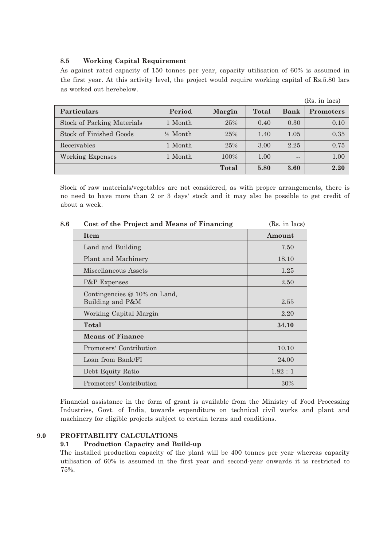## **8.5 Working Capital Requirement**

As against rated capacity of 150 tonnes per year, capacity utilisation of 60% is assumed in the first year. At this activity level, the project would require working capital of Rs.5.80 lacs as worked out herebelow.

|                                   |                     |               |       |             | (Rs. in lacs)    |
|-----------------------------------|---------------------|---------------|-------|-------------|------------------|
| <b>Particulars</b>                | Period              | <b>Margin</b> | Total | <b>Bank</b> | <b>Promoters</b> |
| <b>Stock of Packing Materials</b> | 1 Month             | 25%           | 0.40  | 0.30        | 0.10             |
| Stock of Finished Goods           | $\frac{1}{2}$ Month | 25%           | 1.40  | 1.05        | 0.35             |
| Receivables                       | 1 Month             | 25%           | 3.00  | 2.25        | 0.75             |
| Working Expenses                  | 1 Month             | 100%          | 1.00  | $ -$        | 1.00             |
|                                   |                     | Total         | 5.80  | 3.60        | 2.20             |

Stock of raw materials/vegetables are not considered, as with proper arrangements, there is no need to have more than 2 or 3 days' stock and it may also be possible to get credit of about a week.

| 8.6 | Cost of the Project and Means of Financing       | (Rs. in lacs) |
|-----|--------------------------------------------------|---------------|
|     | <b>Item</b>                                      | Amount        |
|     | Land and Building                                | 7.50          |
|     | Plant and Machinery                              | 18.10         |
|     | Miscellaneous Assets                             | 1.25          |
|     | P&P Expenses                                     | 2.50          |
|     | Contingencies @ 10% on Land,<br>Building and P&M | 2.55          |
|     | Working Capital Margin                           | 2.20          |
|     | Total                                            | 34.10         |
|     | <b>Means of Finance</b>                          |               |
|     | Promoters' Contribution                          | 10.10         |
|     | Loan from Bank/FI                                | 24.00         |
|     | Debt Equity Ratio                                | 1.82:1        |
|     | Promoters' Contribution                          | 30%           |

Financial assistance in the form of grant is available from the Ministry of Food Processing Industries, Govt. of India, towards expenditure on technical civil works and plant and machinery for eligible projects subject to certain terms and conditions.

## **9.0 PROFITABILITY CALCULATIONS**

#### **9.1 Production Capacity and Build-up**

The installed production capacity of the plant will be 400 tonnes per year whereas capacity utilisation of 60% is assumed in the first year and second-year onwards it is restricted to 75%.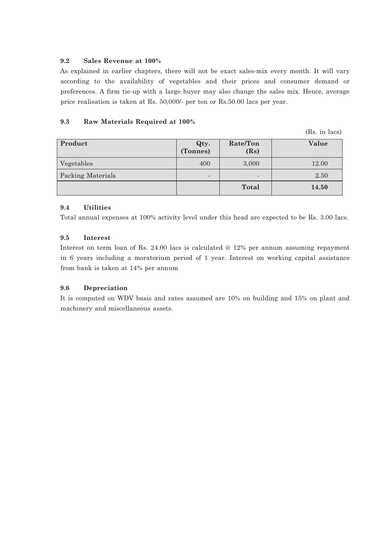# **9.2 Sales Revenue at 100%**

As explained in earlier chapters, there will not be exact sales-mix every month. It will vary according to the availability of vegetables and their prices and consumer demand or preferences. A firm tie-up with a large buyer may also change the sales mix. Hence, average price realisation is taken at Rs. 50,000/- per ton or Rs.50.00 lacs per year.

# **9.3 Raw Materials Required at 100%**

(Rs. in lacs)

| Product                  | Qty.<br>(Tonnes)         | Rate/Ton<br>(Rs)         | Value |
|--------------------------|--------------------------|--------------------------|-------|
| Vegetables               | 400                      | 3,000                    | 12.00 |
| <b>Packing Materials</b> | $\overline{\phantom{0}}$ | $\overline{\phantom{a}}$ | 2.50  |
|                          |                          | Total                    | 14.50 |

# **9.4 Utilities**

Total annual expenses at 100% activity level under this head are expected to be Rs. 3.00 lacs.

# **9.5 Interest**

Interest on term loan of Rs. 24.00 lacs is calculated @ 12% per annum assuming repayment in 6 years including a moratorium period of 1 year. Interest on working capital assistance from bank is taken at 14% per annum

# **9.6 Depreciation**

It is computed on WDV basis and rates assumed are 10% on building and 15% on plant and machinery and miscellaneous assets.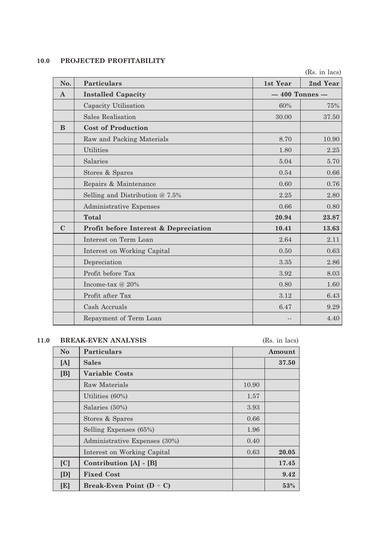# **10.0 PROJECTED PROFITABILITY**

|              |                                       |                    | (Rs. in lacs) |
|--------------|---------------------------------------|--------------------|---------------|
| No.          | <b>Particulars</b>                    | 1st Year           | 2nd Year      |
| $\mathbf{A}$ | <b>Installed Capacity</b>             | --- 400 Tonnes --- |               |
|              | Capacity Utilisation                  | 60%                | 75%           |
|              | Sales Realisation                     | 30.00              | 37.50         |
| B            | <b>Cost of Production</b>             |                    |               |
|              | Raw and Packing Materials             | 8.70               | 10.90         |
|              | <b>Utilities</b>                      | 1.80               | 2.25          |
|              | Salaries                              | 5.04               | 5.70          |
|              | Stores & Spares                       | 0.54               | 0.66          |
|              | Repairs & Maintenance                 | 0.60               | 0.76          |
|              | Selling and Distribution $@ 7.5\%$    | 2.25               | 2.80          |
|              | Administrative Expenses               | 0.66               | 0.80          |
|              | <b>Total</b>                          | 20.94              | 23.87         |
| $\mathbf C$  | Profit before Interest & Depreciation | 10.41              | 13.63         |
|              | Interest on Term Loan                 | 2.64               | 2.11          |
|              | Interest on Working Capital           | 0.50               | 0.63          |
|              | Depreciation                          | 3.35               | 2.86          |
|              | Profit before Tax                     | 3.92               | 8.03          |
|              | Income-tax $@20\%$                    | 0.80               | 1.60          |
|              | Profit after Tax                      | 3.12               | 6.43          |
|              | Cash Accruals                         | 6.47               | 9.29          |
|              | Repayment of Term Loan                |                    | 4.40          |

# **11.0 BREAK-EVEN ANALYSIS** (Rs. in lacs)

| N <sub>o</sub> | <b>Particulars</b>            |       | Amount |
|----------------|-------------------------------|-------|--------|
| [A]            | <b>Sales</b>                  |       | 37.50  |
| [B]            | <b>Variable Costs</b>         |       |        |
|                | Raw Materials                 | 10.90 |        |
|                | Utilities (60%)               | 1.57  |        |
|                | Salaries (50%)                | 3.93  |        |
|                | Stores & Spares               | 0.66  |        |
|                | Selling Expenses (65%)        | 1.96  |        |
|                | Administrative Expenses (30%) | 0.40  |        |
|                | Interest on Working Capital   | 0.63  | 20.05  |
| [C]            | Contribution $[A]$ - $[B]$    |       | 17.45  |
| [D]            | <b>Fixed Cost</b>             |       | 9.42   |
| [E]            | Break-Even Point $(D - C)$    |       | 53%    |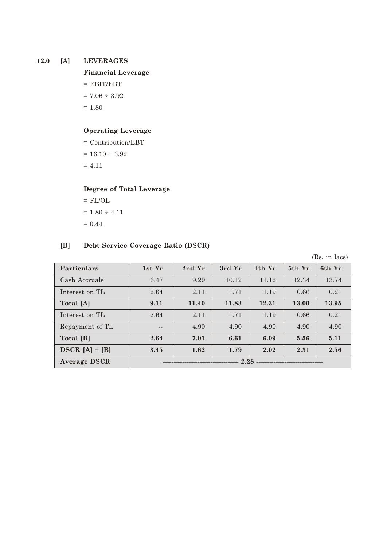# **12.0 [A] LEVERAGES**

**Financial Leverage**

 $=$  EBIT/EBT

 $= 7.06 \div 3.92$ 

 $= 1.80$ 

# **Operating Leverage**

= Contribution/EBT

 $= 16.10 \div 3.92$ 

 $= 4.11$ 

# **Degree of Total Leverage**

 $=$  FL/OL  $= 1.80 \div 4.11$  $= 0.44$ 

# **[B] Debt Service Coverage Ratio (DSCR)**

(Rs. in lacs)

| <b>Particulars</b>  | 1st Yr | 2nd Yr | 3rd Yr | 4th Yr | 5th Yr | 6th Yr |
|---------------------|--------|--------|--------|--------|--------|--------|
| Cash Accruals       | 6.47   | 9.29   | 10.12  | 11.12  | 12.34  | 13.74  |
| Interest on TL      | 2.64   | 2.11   | 1.71   | 1.19   | 0.66   | 0.21   |
| Total [A]           | 9.11   | 11.40  | 11.83  | 12.31  | 13.00  | 13.95  |
| Interest on TL      | 2.64   | 2.11   | 1.71   | 1.19   | 0.66   | 0.21   |
| Repayment of TL     | $-$    | 4.90   | 4.90   | 4.90   | 4.90   | 4.90   |
| Total [B]           | 2.64   | 7.01   | 6.61   | 6.09   | 5.56   | 5.11   |
| $DSCR [A] \div [B]$ | 3.45   | 1.62   | 1.79   | 2.02   | 2.31   | 2.56   |
| <b>Average DSCR</b> | 2.28   |        |        |        |        |        |